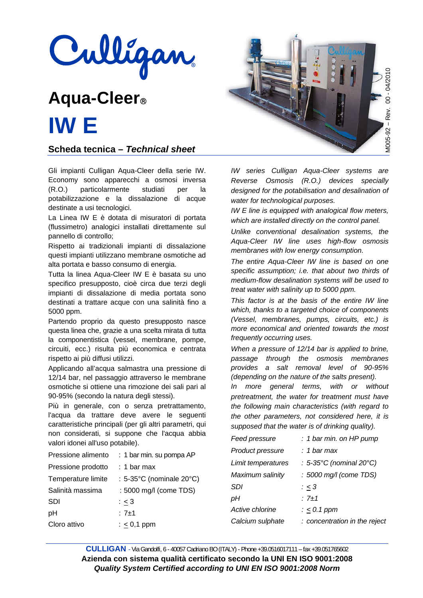

# **Aqua-Cleer IW E**

**Scheda tecnica –** *Technical sheet*

Gli impianti Culligan Aqua-Cleer della serie IW. Economy sono apparecchi a osmosi inversa (R.O.) particolarmente studiati per la potabilizzazione e la dissalazione di acque destinate a usi tecnologici.

La Linea IW E è dotata di misuratori di portata (flussimetro) analogici installati direttamente sul pannello di controllo;

Rispetto ai tradizionali impianti di dissalazione questi impianti utilizzano membrane osmotiche ad alta portata e basso consumo di energia.

Tutta la linea Aqua-Cleer IW E è basata su uno specifico presupposto, cioè circa due terzi degli impianti di dissalazione di media portata sono destinati a trattare acque con una salinità fino a 5000 ppm.

Partendo proprio da questo presupposto nasce questa linea che, grazie a una scelta mirata di tutta la componentistica (vessel, membrane, pompe, circuiti, ecc.) risulta più economica e centrata rispetto ai più diffusi utilizzi.

Applicando all'acqua salmastra una pressione di 12/14 bar, nel passaggio attraverso le membrane osmotiche si ottiene una rimozione dei sali pari al 90-95% (secondo la natura degli stessi).

Più in generale, con o senza pretrattamento, l'acqua da trattare deve avere le seguenti caratteristiche principali (per gli altri parametri, qui non considerati, si suppone che l'acqua abbia valori idonei all'uso potabile).

| Pressione alimento | : 1 bar min. su pompa AP |
|--------------------|--------------------------|
| Pressione prodotto | $: 1$ bar max            |
| Temperature limite | : 5-35°C (nominale 20°C) |
| Salinità massima   | : 5000 mg/l (come TDS)   |
| SDI                | $\frac{1}{2} \leq 3$     |
| рH                 | $: 7 + 1$                |
| Cloro attivo       | $: < 0.1$ ppm            |
|                    |                          |



*IW series Culligan Aqua-Cleer systems are Reverse Osmosis (R.O.) devices specially designed for the potabilisation and desalination of water for technological purposes.* 

*IW E line is equipped with analogical flow meters, which are installed directly on the control panel.* 

*Unlike conventional desalination systems, the Aqua-Cleer IW line uses high-flow osmosis membranes with low energy consumption.* 

*The entire Aqua-Cleer IW line is based on one specific assumption; i.e. that about two thirds of medium-flow desalination systems will be used to treat water with salinity up to 5000 ppm.* 

*This factor is at the basis of the entire IW line which, thanks to a targeted choice of components (Vessel, membranes, pumps, circuits, etc.) is more economical and oriented towards the most frequently occurring uses.* 

*When a pressure of 12/14 bar is applied to brine, passage through the osmosis membranes provides a salt removal level of 90-95% (depending on the nature of the salts present).* 

*In more general terms, with or without pretreatment, the water for treatment must have the following main characteristics (with regard to the other parameters, not considered here, it is supposed that the water is of drinking quality).* 

| Feed pressure      | : 1 bar min. on HP pump       |
|--------------------|-------------------------------|
| Product pressure   | : 1 bar max                   |
| Limit temperatures | : 5-35°C (nominal 20°C)       |
| Maximum salinity   | : 5000 mg/l (come TDS)        |
| <b>SDI</b>         | : < 3                         |
| рH                 | : $7 + 1$                     |
| Active chlorine    | $: < 0.1$ ppm                 |
| Calcium sulphate   | : concentration in the reject |